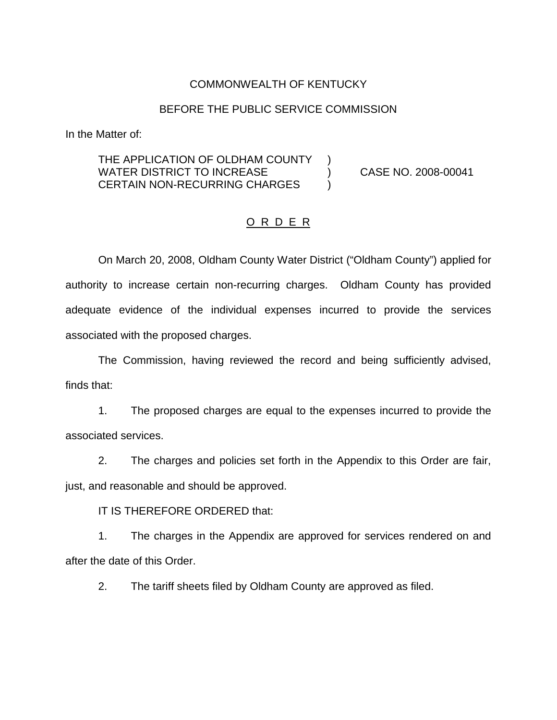#### COMMONWEALTH OF KENTUCKY

#### BEFORE THE PUBLIC SERVICE COMMISSION

In the Matter of:

#### THE APPLICATION OF OLDHAM COUNTY ) WATER DISTRICT TO INCREASE (2008-00041 CERTAIN NON-RECURRING CHARGES )

# O R D E R

On March 20, 2008, Oldham County Water District ("Oldham County") applied for authority to increase certain non-recurring charges. Oldham County has provided adequate evidence of the individual expenses incurred to provide the services associated with the proposed charges.

The Commission, having reviewed the record and being sufficiently advised, finds that:

1. The proposed charges are equal to the expenses incurred to provide the associated services.

2. The charges and policies set forth in the Appendix to this Order are fair, just, and reasonable and should be approved.

IT IS THEREFORE ORDERED that:

1. The charges in the Appendix are approved for services rendered on and after the date of this Order.

2. The tariff sheets filed by Oldham County are approved as filed.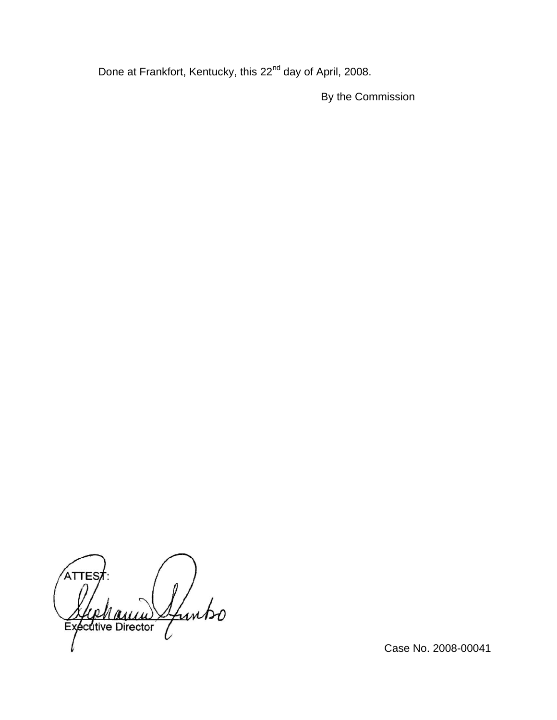Done at Frankfort, Kentucky, this 22<sup>nd</sup> day of April, 2008.

By the Commission

ATTES Sfuntso **Exécutive Director** 

Case No. 2008-00041